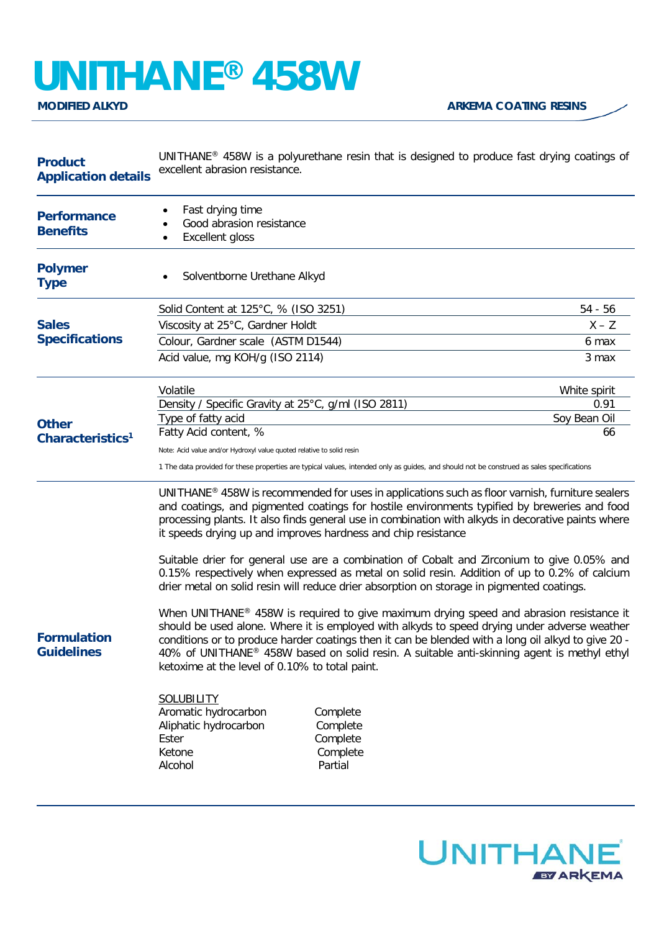## **UNITHANE® 458W**

**ARKEMA COATING RESINS** 

| <b>Product</b><br><b>Application details</b> | UNITHANE <sup>®</sup> 458W is a polyurethane resin that is designed to produce fast drying coatings of<br>excellent abrasion resistance.                                                                                                                                                                                                                                                                                                                                                                                                                                                                                                                                                                                                                                                                                                                                                                                                                                                                                                                                                 |                                                         |              |
|----------------------------------------------|------------------------------------------------------------------------------------------------------------------------------------------------------------------------------------------------------------------------------------------------------------------------------------------------------------------------------------------------------------------------------------------------------------------------------------------------------------------------------------------------------------------------------------------------------------------------------------------------------------------------------------------------------------------------------------------------------------------------------------------------------------------------------------------------------------------------------------------------------------------------------------------------------------------------------------------------------------------------------------------------------------------------------------------------------------------------------------------|---------------------------------------------------------|--------------|
| <b>Performance</b><br><b>Benefits</b>        | Fast drying time<br>Good abrasion resistance<br><b>Excellent gloss</b>                                                                                                                                                                                                                                                                                                                                                                                                                                                                                                                                                                                                                                                                                                                                                                                                                                                                                                                                                                                                                   |                                                         |              |
| <b>Polymer</b><br><b>Type</b>                | Solventborne Urethane Alkyd                                                                                                                                                                                                                                                                                                                                                                                                                                                                                                                                                                                                                                                                                                                                                                                                                                                                                                                                                                                                                                                              |                                                         |              |
| <b>Sales</b><br><b>Specifications</b>        | Solid Content at 125°C, % (ISO 3251)                                                                                                                                                                                                                                                                                                                                                                                                                                                                                                                                                                                                                                                                                                                                                                                                                                                                                                                                                                                                                                                     |                                                         | 54 - 56      |
|                                              | Viscosity at 25°C, Gardner Holdt                                                                                                                                                                                                                                                                                                                                                                                                                                                                                                                                                                                                                                                                                                                                                                                                                                                                                                                                                                                                                                                         |                                                         | $X - Z$      |
|                                              | Colour, Gardner scale (ASTM D1544)                                                                                                                                                                                                                                                                                                                                                                                                                                                                                                                                                                                                                                                                                                                                                                                                                                                                                                                                                                                                                                                       |                                                         | 6 max        |
|                                              | Acid value, mg KOH/g (ISO 2114)                                                                                                                                                                                                                                                                                                                                                                                                                                                                                                                                                                                                                                                                                                                                                                                                                                                                                                                                                                                                                                                          |                                                         | 3 max        |
| <b>Other</b><br>Characteristics <sup>1</sup> | Volatile                                                                                                                                                                                                                                                                                                                                                                                                                                                                                                                                                                                                                                                                                                                                                                                                                                                                                                                                                                                                                                                                                 |                                                         | White spirit |
|                                              | Density / Specific Gravity at 25°C, g/ml (ISO 2811)                                                                                                                                                                                                                                                                                                                                                                                                                                                                                                                                                                                                                                                                                                                                                                                                                                                                                                                                                                                                                                      |                                                         | 0.91         |
|                                              | Type of fatty acid<br>Fatty Acid content, %                                                                                                                                                                                                                                                                                                                                                                                                                                                                                                                                                                                                                                                                                                                                                                                                                                                                                                                                                                                                                                              |                                                         | Soy Bean Oil |
|                                              |                                                                                                                                                                                                                                                                                                                                                                                                                                                                                                                                                                                                                                                                                                                                                                                                                                                                                                                                                                                                                                                                                          |                                                         | 66           |
|                                              | Note: Acid value and/or Hydroxyl value quoted relative to solid resin                                                                                                                                                                                                                                                                                                                                                                                                                                                                                                                                                                                                                                                                                                                                                                                                                                                                                                                                                                                                                    |                                                         |              |
|                                              | 1 The data provided for these properties are typical values, intended only as guides, and should not be construed as sales specifications                                                                                                                                                                                                                                                                                                                                                                                                                                                                                                                                                                                                                                                                                                                                                                                                                                                                                                                                                |                                                         |              |
| <b>Formulation</b><br><b>Guidelines</b>      | UNITHANE <sup>®</sup> 458W is recommended for uses in applications such as floor varnish, furniture sealers<br>and coatings, and pigmented coatings for hostile environments typified by breweries and food<br>processing plants. It also finds general use in combination with alkyds in decorative paints where<br>it speeds drying up and improves hardness and chip resistance<br>Suitable drier for general use are a combination of Cobalt and Zirconium to give 0.05% and<br>0.15% respectively when expressed as metal on solid resin. Addition of up to 0.2% of calcium<br>drier metal on solid resin will reduce drier absorption on storage in pigmented coatings.<br>When UNITHANE® 458W is required to give maximum drying speed and abrasion resistance it<br>should be used alone. Where it is employed with alkyds to speed drying under adverse weather<br>conditions or to produce harder coatings then it can be blended with a long oil alkyd to give 20 -<br>40% of UNITHANE <sup>®</sup> 458W based on solid resin. A suitable anti-skinning agent is methyl ethyl |                                                         |              |
|                                              | ketoxime at the level of 0.10% to total paint.<br><b>SOLUBILITY</b><br>Aromatic hydrocarbon<br>Aliphatic hydrocarbon<br>Ester<br>Ketone<br>Alcohol                                                                                                                                                                                                                                                                                                                                                                                                                                                                                                                                                                                                                                                                                                                                                                                                                                                                                                                                       | Complete<br>Complete<br>Complete<br>Complete<br>Partial |              |